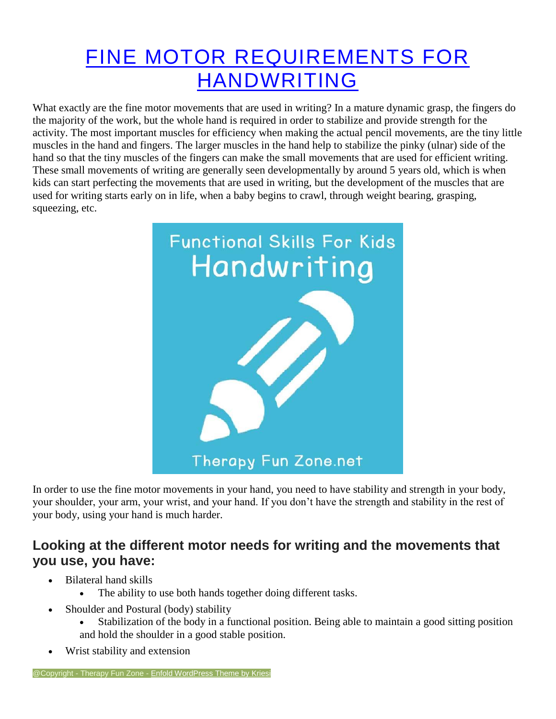## FINE MOTOR [REQUIREMENTS](https://therapyfunzone.net/blog/fine-motor-requirements-for-handwriting/) FOR [HANDWRITING](https://therapyfunzone.net/blog/fine-motor-requirements-for-handwriting/)

What exactly are the fine motor movements that are used in writing? In a mature dynamic grasp, the fingers do the majority of the work, but the whole hand is required in order to stabilize and provide strength for the activity. The most important muscles for efficiency when making the actual pencil movements, are the tiny little muscles in the hand and fingers. The larger muscles in the hand help to stabilize the pinky (ulnar) side of the hand so that the tiny muscles of the fingers can make the small movements that are used for efficient writing. These small movements of writing are generally seen developmentally by around 5 years old, which is when kids can start perfecting the movements that are used in writing, but the development of the muscles that are used for writing starts early on in life, when a baby begins to crawl, through weight bearing, grasping, squeezing, etc.



In order to use the fine motor movements in your hand, you need to have stability and strength in your body, your shoulder, your arm, your wrist, and your hand. If you don't have the strength and stability in the rest of your body, using your hand is much harder.

### **Looking at the different motor needs for writing and the movements that you use, you have:**

- Bilateral hand skills
	- The ability to use both hands together doing different tasks.
- Shoulder and Postural (body) stability
	- Stabilization of the body in a functional position. Being able to maintain a good sitting position and hold the shoulder in a good stable position.
- Wrist stability and extension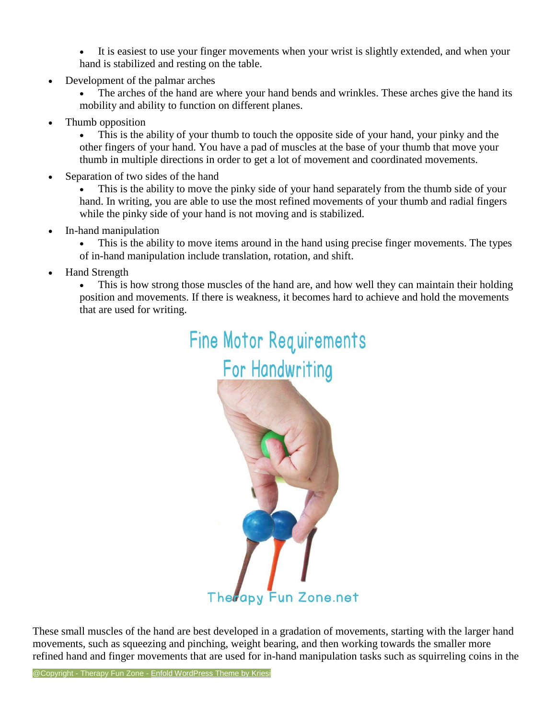It is easiest to use your finger movements when your wrist is slightly extended, and when your hand is stabilized and resting on the table.

- Development of the palmar arches
	- The arches of the hand are where your hand bends and wrinkles. These arches give the hand its mobility and ability to function on different planes.
- Thumb opposition

This is the ability of your thumb to touch the opposite side of your hand, your pinky and the other fingers of your hand. You have a pad of muscles at the base of your thumb that move your thumb in multiple directions in order to get a lot of movement and coordinated movements.

Separation of two sides of the hand

This is the ability to move the pinky side of your hand separately from the thumb side of your hand. In writing, you are able to use the most refined movements of your thumb and radial fingers while the pinky side of your hand is not moving and is stabilized.

- In-hand manipulation
	- This is the ability to move items around in the hand using precise finger movements. The types of in-hand manipulation include translation, rotation, and shift.
- Hand Strength

• This is how strong those muscles of the hand are, and how well they can maintain their holding position and movements. If there is weakness, it becomes hard to achieve and hold the movements that are used for writing.

# **Fine Motor Requirements**



Therapy Fun Zone.net

These small muscles of the hand are best developed in a gradation of movements, starting with the larger hand movements, such as squeezing and pinching, weight bearing, and then working towards the smaller more refined hand and finger movements that are used for in-hand manipulation tasks such as squirreling coins in the